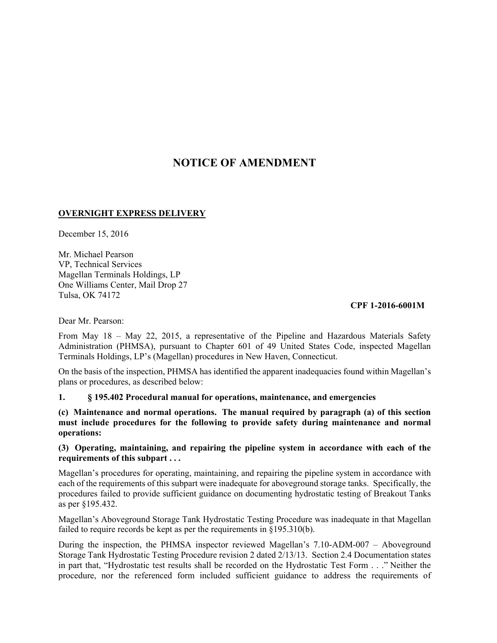# **NOTICE OF AMENDMENT**

## **OVERNIGHT EXPRESS DELIVERY**

December 15, 2016

Mr. Michael Pearson VP, Technical Services Magellan Terminals Holdings, LP One Williams Center, Mail Drop 27 Tulsa, OK 74172

#### **CPF 1-2016-6001M**

Dear Mr. Pearson:

From May 18 – May 22, 2015, a representative of the Pipeline and Hazardous Materials Safety Administration (PHMSA), pursuant to Chapter 601 of 49 United States Code, inspected Magellan Terminals Holdings, LP's (Magellan) procedures in New Haven, Connecticut.

On the basis of the inspection, PHMSA has identified the apparent inadequacies found within Magellan's plans or procedures, as described below:

## **1. § 195.402 Procedural manual for operations, maintenance, and emergencies**

**(c) Maintenance and normal operations. The manual required by paragraph (a) of this section must include procedures for the following to provide safety during maintenance and normal operations:** 

## **(3) Operating, maintaining, and repairing the pipeline system in accordance with each of the requirements of this subpart . . .**

Magellan's procedures for operating, maintaining, and repairing the pipeline system in accordance with each of the requirements of this subpart were inadequate for aboveground storage tanks. Specifically, the procedures failed to provide sufficient guidance on documenting hydrostatic testing of Breakout Tanks as per §195.432.

Magellan's Aboveground Storage Tank Hydrostatic Testing Procedure was inadequate in that Magellan failed to require records be kept as per the requirements in §195.310(b).

During the inspection, the PHMSA inspector reviewed Magellan's 7.10-ADM-007 – Aboveground Storage Tank Hydrostatic Testing Procedure revision 2 dated 2/13/13. Section 2.4 Documentation states in part that, "Hydrostatic test results shall be recorded on the Hydrostatic Test Form . . ." Neither the procedure, nor the referenced form included sufficient guidance to address the requirements of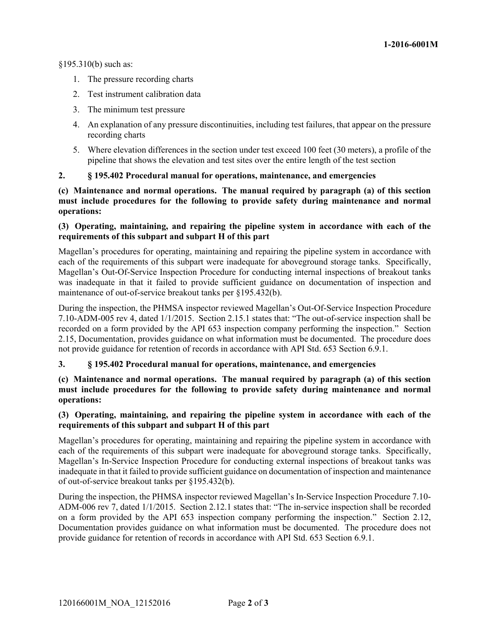§195.310(b) such as:

- 1. The pressure recording charts
- 2. Test instrument calibration data
- 3. The minimum test pressure
- 4. An explanation of any pressure discontinuities, including test failures, that appear on the pressure recording charts
- 5. Where elevation differences in the section under test exceed 100 feet (30 meters), a profile of the pipeline that shows the elevation and test sites over the entire length of the test section

# **2. § 195.402 Procedural manual for operations, maintenance, and emergencies**

**(c) Maintenance and normal operations. The manual required by paragraph (a) of this section must include procedures for the following to provide safety during maintenance and normal operations:** 

## **(3) Operating, maintaining, and repairing the pipeline system in accordance with each of the requirements of this subpart and subpart H of this part**

Magellan's procedures for operating, maintaining and repairing the pipeline system in accordance with each of the requirements of this subpart were inadequate for aboveground storage tanks. Specifically, Magellan's Out-Of-Service Inspection Procedure for conducting internal inspections of breakout tanks was inadequate in that it failed to provide sufficient guidance on documentation of inspection and maintenance of out-of-service breakout tanks per §195.432(b).

During the inspection, the PHMSA inspector reviewed Magellan's Out-Of-Service Inspection Procedure 7.10-ADM-005 rev 4, dated 1/1/2015. Section 2.15.1 states that: "The out-of-service inspection shall be recorded on a form provided by the API 653 inspection company performing the inspection." Section 2.15, Documentation, provides guidance on what information must be documented. The procedure does not provide guidance for retention of records in accordance with API Std. 653 Section 6.9.1.

## **3. § 195.402 Procedural manual for operations, maintenance, and emergencies**

**(c) Maintenance and normal operations. The manual required by paragraph (a) of this section must include procedures for the following to provide safety during maintenance and normal operations:** 

## **(3) Operating, maintaining, and repairing the pipeline system in accordance with each of the requirements of this subpart and subpart H of this part**

Magellan's procedures for operating, maintaining and repairing the pipeline system in accordance with each of the requirements of this subpart were inadequate for aboveground storage tanks. Specifically, Magellan's In-Service Inspection Procedure for conducting external inspections of breakout tanks was inadequate in that it failed to provide sufficient guidance on documentation of inspection and maintenance of out-of-service breakout tanks per §195.432(b).

During the inspection, the PHMSA inspector reviewed Magellan's In-Service Inspection Procedure 7.10- ADM-006 rev 7, dated 1/1/2015. Section 2.12.1 states that: "The in-service inspection shall be recorded on a form provided by the API 653 inspection company performing the inspection." Section 2.12, Documentation provides guidance on what information must be documented. The procedure does not provide guidance for retention of records in accordance with API Std. 653 Section 6.9.1.